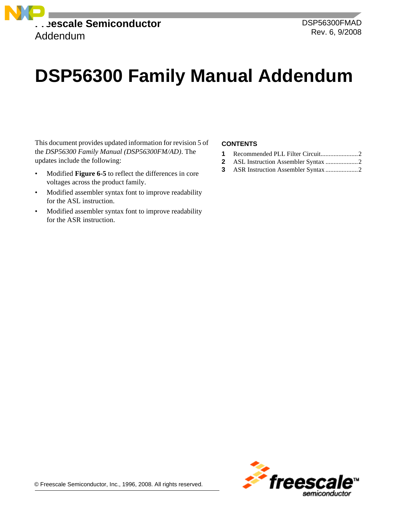

# **DSP56300 Family Manual Addendum**

This document provides updated information for revision 5 of the *DSP56300 Family Manual (DSP56300FM/AD)*. The updates include the following:

- Modified **Figure 6-5** to reflect the differences in core voltages across the product family.
- Modified assembler syntax font to improve readability for the ASL instruction.
- Modified assembler syntax font to improve readability for the ASR instruction.

### **CONTENTS**

- **1** [Recommended PLL Filter Circuit.......................2](#page-1-0)
- **2** [ASL Instruction Assembler Syntax ....................2](#page-1-1)
- **3** [ASR Instruction Assembler Syntax ....................2](#page-1-2)

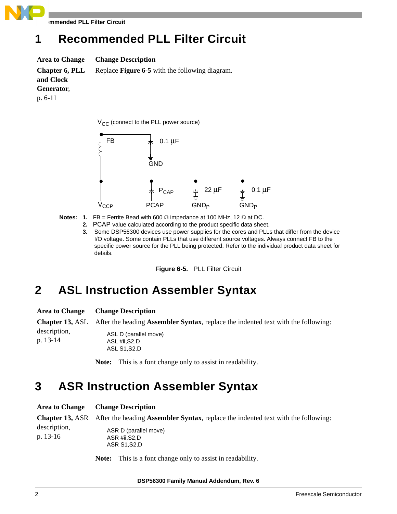**Remanded PLL Filter Circuit** 

# <span id="page-1-0"></span>**1 Recommended PLL Filter Circuit**

**Area to Change Change Description**

**Chapter 6, PLL and Clock**  Replace **Figure 6-5** with the following diagram.

# **Generator**,

p. 6-11



- **Notes: 1.** FB = Ferrite Bead with 600  $\Omega$  impedance at 100 MHz, 12  $\Omega$  at DC.
	- **2.** PCAP value calculated according to the product specific data sheet.
	- **3.** Some DSP56300 devices use power supplies for the cores and PLLs that differ from the device I/O voltage. Some contain PLLs that use different source voltages. Always connect FB to the specific power source for the PLL being protected. Refer to the individual product data sheet for details.

**Figure 6-5.** PLL Filter Circuit

# <span id="page-1-1"></span>**2 ASL Instruction Assembler Syntax**

# **Area to Change Change Description**

**Chapter 13,** ASL After the heading **Assembler Syntax**, replace the indented text with the following:

description, p. 13-14

ASL D (parallel move) ASL #ii,S2,D ASL S1,S2,D

**Note:** This is a font change only to assist in readability.

# <span id="page-1-2"></span>**3 ASR Instruction Assembler Syntax**

## **Area to Change Change Description**

**Chapter 13,** ASR description, p. 13-16 After the heading **Assembler Syntax**, replace the indented text with the following: ASR D (parallel move) ASR #ii,S2,D ASR S1,S2,D

**Note:** This is a font change only to assist in readability.

**DSP56300 Family Manual Addendum, Rev. 6**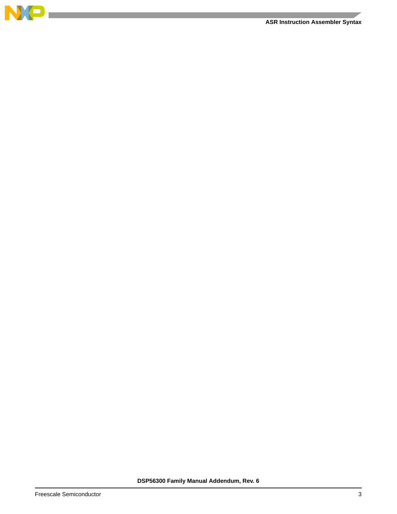

Ē.

**ASR Instruction Assembler Syntax**